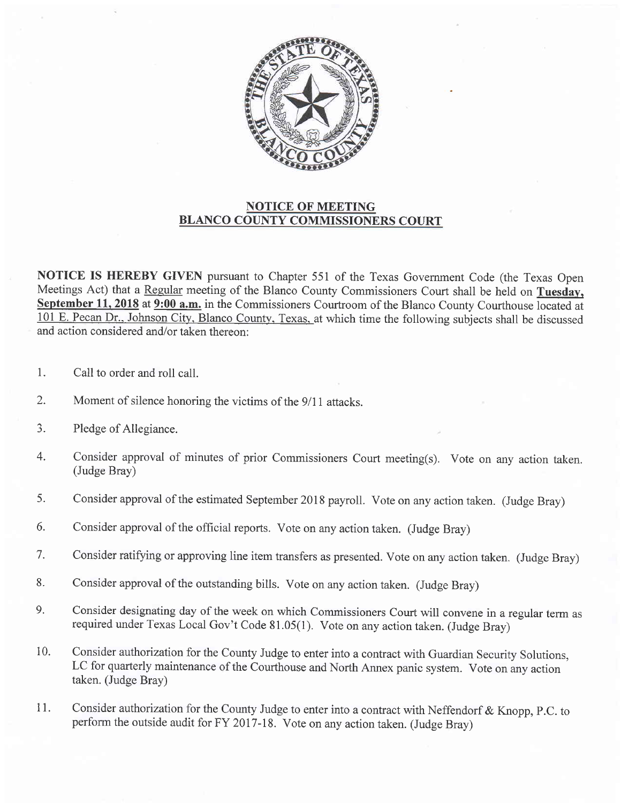

## NOTICE OF MEETING BLANCO COUNTY COMMISSIONERS COURT

NOTICE IS HEREBY GIVEN pursuant to Chapter 551 of the Texas Govemment Code (the Texas Open Meetings Act) that a Regular meeting of the Blanco County Commissioners Court shall be held on Tuesday, September 11, 2018 at 9:00 a.m. in the Commissioners Courtroom of the Blanco County Courthouse located at 101 E. Pecan Dr., Johnson City, Blanco County, Texas, at which time the following subjects shall be discussed and action considered and/or taken thereon:

- 1. Call to order and roll call.
- 2. Moment of silence honoring the victims of the 9/11 attacks.
- J. Pledge of Allegiance.
- 4. Consider approval of minutes of prior Commissioners Court meeting(s). Vote on any action taken. (Judge Bray)
- 5. Consider approval of the estimated September 2018 payroll. Vote on any action taken. (Judge Bray)
- 6. Consider approval of the official reports. Vote on any action taken. (Judge Bray)
- 7. Consider ratifying or approving line item transfers as presented. Vote on any action taken. (Judge Brayl
- 8. Consider approval of the outstanding bills. Vote on any action taken. (Judge Bray)
- 9. Consider designating day of the week on which Commissioners Court will convene in a regular term as required under Texas Local Gov't Code 81.05(1). Vote on any action taken. (Judge Bray)
- 10. Consider authorization for the County Judge to enter into a contract with Guardian Security Solutions, LC for quarterly maintenance of the Courthouse and North Annex panic system. Vote on any action taken. (Judge Bray)
- Consider authorization for the County Judge to enter into a contract with Neffendorf & Knopp, p.C. to perform the outside audit for FY 2017-18. Vote on any action taken. (Judge Bray) 11.